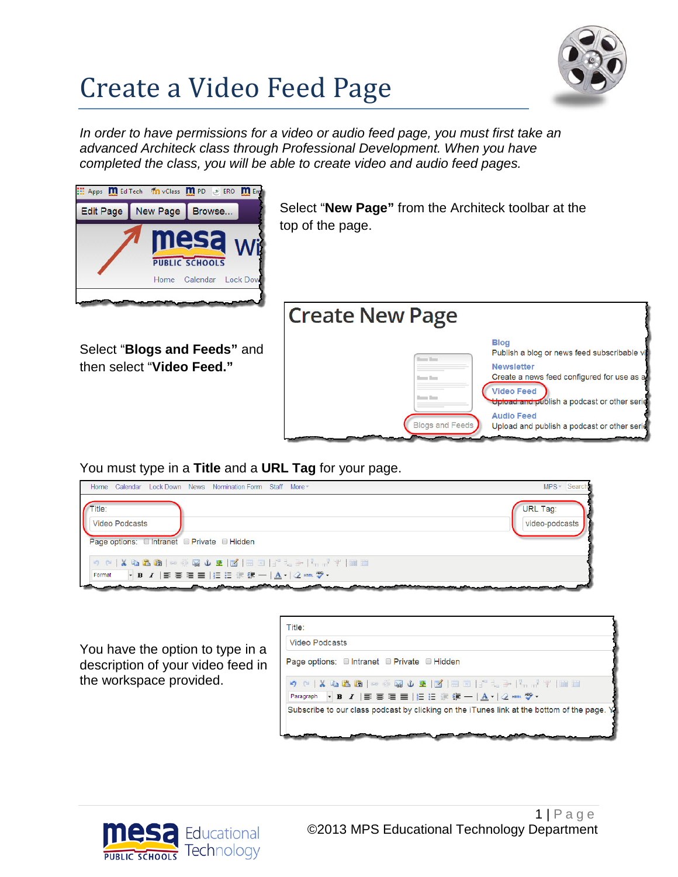## Create a Video Feed Page



*In order to have permissions for a video or audio feed page, you must first take an advanced Architeck class through Professional Development. When you have completed the class, you will be able to create video and audio feed pages.* 



Select "**New Page"** from the Architeck toolbar at the top of the page.



then select "**Video Feed."**

You must type in a **Title** and a **URL Tag** for your page.

| Calendar Lock Down News Nomination Form Staff More<br>Home                                                                                                                                                                                                                                                                                                                                                                                                                                                                                                                                                                           | MPS + Search                      |
|--------------------------------------------------------------------------------------------------------------------------------------------------------------------------------------------------------------------------------------------------------------------------------------------------------------------------------------------------------------------------------------------------------------------------------------------------------------------------------------------------------------------------------------------------------------------------------------------------------------------------------------|-----------------------------------|
| $\sqrt{\phantom{a}}$ Title:<br><b>Video Podcasts</b><br>Page options: □ Intranet □ Private □ Hidden                                                                                                                                                                                                                                                                                                                                                                                                                                                                                                                                  | <b>URL Tag:</b><br>video-podcasts |
| $\begin{array}{c} \bullet \circ \bullet \mathrel{\mathop{\not{\mathbb R}}\nolimits} \bullet \mathrel{\mathop{\not{\mathbb Q}}\nolimits} \bullet \mathrel{\mathop{\not{\mathbb Q}}\nolimits} \bullet \mathrel{\mathop{\not{\mathbb Q}}\nolimits} \bullet \mathrel{\mathop{\not{\mathbb Z}}\nolimits} \mathrel{\mathop{\not{\mathbb Z}}\nolimits} \mathrel{\mathop{\not{\mathbb Z}}\nolimits} \mathrel{\mathop{\not{\mathbb Z}}\nolimits} \mathrel{\mathrel{\not{\mathbb Z}}\nolimits} \mathrel{\mathrel{\not{\mathbb Z}}\nolimits} \mathrel{\mathrel{\not{\mathbb Z}}\nolimits} \$<br>Format<br><u>a Paul Maria Maria a San Angel</u> |                                   |

You have the option to type in a description of your video feed in the workspace provided.

| Title:                                                                                     |  |
|--------------------------------------------------------------------------------------------|--|
| <b>Video Podcasts</b>                                                                      |  |
| Page options: Intranet Private Hidden                                                      |  |
|                                                                                            |  |
| Paragraph · B I   事 事 理 ■   扫 田 非 建 一   A -   2 mm ツ -                                     |  |
| Subscribe to our class podcast by clicking on the iTunes link at the bottom of the page. Y |  |
|                                                                                            |  |